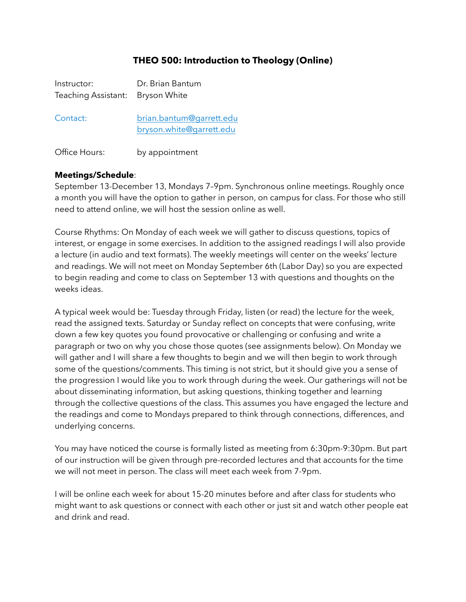# **THEO 500: Introduction to Theology (Online)**

| Instructor:<br>Teaching Assistant: Bryson White | Dr. Brian Bantum                                     |
|-------------------------------------------------|------------------------------------------------------|
| Contact:                                        | brian.bantum@garrett.edu<br>bryson.white@garrett.edu |

Office Hours: by appointment

### **Meetings/Schedule**:

September 13-December 13, Mondays 7–9pm. Synchronous online meetings. Roughly once a month you will have the option to gather in person, on campus for class. For those who still need to attend online, we will host the session online as well.

Course Rhythms: On Monday of each week we will gather to discuss questions, topics of interest, or engage in some exercises. In addition to the assigned readings I will also provide a lecture (in audio and text formats). The weekly meetings will center on the weeks' lecture and readings. We will not meet on Monday September 6th (Labor Day) so you are expected to begin reading and come to class on September 13 with questions and thoughts on the weeks ideas.

A typical week would be: Tuesday through Friday, listen (or read) the lecture for the week, read the assigned texts. Saturday or Sunday reflect on concepts that were confusing, write down a few key quotes you found provocative or challenging or confusing and write a paragraph or two on why you chose those quotes (see assignments below). On Monday we will gather and I will share a few thoughts to begin and we will then begin to work through some of the questions/comments. This timing is not strict, but it should give you a sense of the progression I would like you to work through during the week. Our gatherings will not be about disseminating information, but asking questions, thinking together and learning through the collective questions of the class. This assumes you have engaged the lecture and the readings and come to Mondays prepared to think through connections, differences, and underlying concerns.

You may have noticed the course is formally listed as meeting from 6:30pm-9:30pm. But part of our instruction will be given through pre-recorded lectures and that accounts for the time we will not meet in person. The class will meet each week from 7-9pm.

I will be online each week for about 15-20 minutes before and after class for students who might want to ask questions or connect with each other or just sit and watch other people eat and drink and read.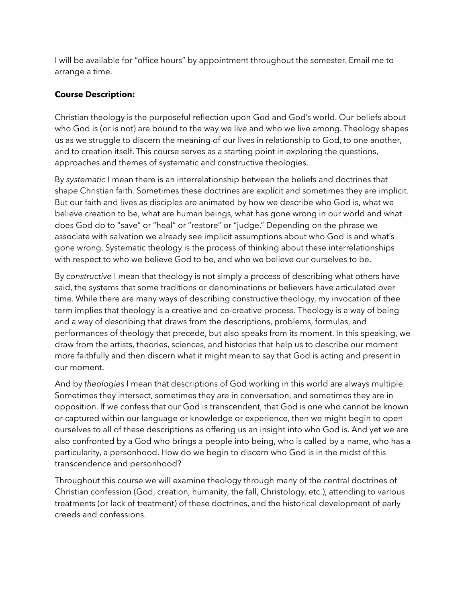I will be available for "office hours" by appointment throughout the semester. Email me to arrange a time.

## **Course Description:**

Christian theology is the purposeful reflection upon God and God's world. Our beliefs about who God is (or is not) are bound to the way we live and who we live among. Theology shapes us as we struggle to discern the meaning of our lives in relationship to God, to one another, and to creation itself. This course serves as a starting point in exploring the questions, approaches and themes of systematic and constructive theologies.

By *systematic* I mean there is an interrelationship between the beliefs and doctrines that shape Christian faith. Sometimes these doctrines are explicit and sometimes they are implicit. But our faith and lives as disciples are animated by how we describe who God is, what we believe creation to be, what are human beings, what has gone wrong in our world and what does God do to "save" or "heal" or "restore" or "judge." Depending on the phrase we associate with salvation we already see implicit assumptions about who God is and what's gone wrong. Systematic theology is the process of thinking about these interrelationships with respect to who we believe God to be, and who we believe our ourselves to be.

By *constructive* I mean that theology is not simply a process of describing what others have said, the systems that some traditions or denominations or believers have articulated over time. While there are many ways of describing constructive theology, my invocation of thee term implies that theology is a creative and co-creative process. Theology is a way of being and a way of describing that draws from the descriptions, problems, formulas, and performances of theology that precede, but also speaks from its moment. In this speaking, we draw from the artists, theories, sciences, and histories that help us to describe our moment more faithfully and then discern what it might mean to say that God is acting and present in our moment.

And by *theologies* I mean that descriptions of God working in this world are always multiple. Sometimes they intersect, sometimes they are in conversation, and sometimes they are in opposition. If we confess that our God is transcendent, that God is one who cannot be known or captured within our language or knowledge or experience, then we might begin to open ourselves to all of these descriptions as offering us an insight into who God is. And yet we are also confronted by a God who brings *a* people into being, who is called by *a* name, who has a particularity, a personhood. How do we begin to discern who God is in the midst of this transcendence and personhood?

Throughout this course we will examine theology through many of the central doctrines of Christian confession (God, creation, humanity, the fall, Christology, etc.), attending to various treatments (or lack of treatment) of these doctrines, and the historical development of early creeds and confessions.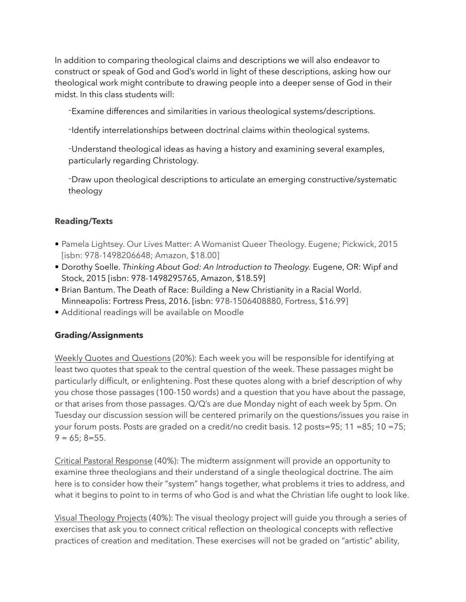In addition to comparing theological claims and descriptions we will also endeavor to construct or speak of God and God's world in light of these descriptions, asking how our theological work might contribute to drawing people into a deeper sense of God in their midst. In this class students will:

-Examine differences and similarities in various theological systems/descriptions.

-Identify interrelationships between doctrinal claims within theological systems.

-Understand theological ideas as having a history and examining several examples, particularly regarding Christology.

-Draw upon theological descriptions to articulate an emerging constructive/systematic theology

## **Reading/Texts**

- Pamela Lightsey. Our Lives Matter: A Womanist Queer Theology. Eugene; Pickwick, 2015 [isbn: 978-1498206648; Amazon, \$18.00]
- Dorothy Soelle. *Thinking About God: An Introduction to Theology.* Eugene, OR: Wipf and Stock, 2015 [isbn: 978-1498295765, Amazon, \$18.59]
- Brian Bantum. The Death of Race: Building a New Christianity in a Racial World. Minneapolis: Fortress Press, 2016. [isbn: 978-1506408880, Fortress, \$16.99]
- Additional readings will be available on Moodle

## **Grading/Assignments**

Weekly Quotes and Questions (20%): Each week you will be responsible for identifying at least two quotes that speak to the central question of the week. These passages might be particularly difficult, or enlightening. Post these quotes along with a brief description of why you chose those passages (100-150 words) and a question that you have about the passage, or that arises from those passages. Q/Q's are due Monday night of each week by 5pm. On Tuesday our discussion session will be centered primarily on the questions/issues you raise in your forum posts. Posts are graded on a credit/no credit basis. 12 posts=95; 11 =85; 10 =75;  $9 = 65$ ; 8=55.

Critical Pastoral Response (40%): The midterm assignment will provide an opportunity to examine three theologians and their understand of a single theological doctrine. The aim here is to consider how their "system" hangs together, what problems it tries to address, and what it begins to point to in terms of who God is and what the Christian life ought to look like.

Visual Theology Projects (40%): The visual theology project will guide you through a series of exercises that ask you to connect critical reflection on theological concepts with reflective practices of creation and meditation. These exercises will not be graded on "artistic" ability,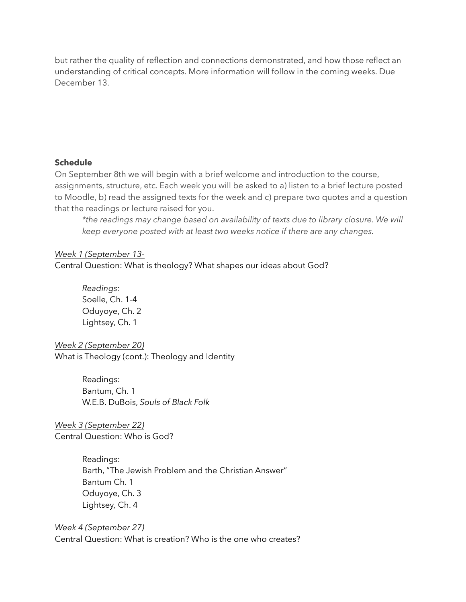but rather the quality of reflection and connections demonstrated, and how those reflect an understanding of critical concepts. More information will follow in the coming weeks. Due December 13.

#### **Schedule**

On September 8th we will begin with a brief welcome and introduction to the course, assignments, structure, etc. Each week you will be asked to a) listen to a brief lecture posted to Moodle, b) read the assigned texts for the week and c) prepare two quotes and a question that the readings or lecture raised for you.

*\*the readings may change based on availability of texts due to library closure. We will keep everyone posted with at least two weeks notice if there are any changes.* 

#### *Week 1 (September 13-*

Central Question: What is theology? What shapes our ideas about God?

*Readings:*  Soelle, Ch. 1-4 Oduyoye, Ch. 2 Lightsey, Ch. 1

*Week 2 (September 20)* What is Theology (cont.): Theology and Identity

> Readings: Bantum, Ch. 1 W.E.B. DuBois, *Souls of Black Folk*

*Week 3 (September 22)*  Central Question: Who is God?

> Readings: Barth, "The Jewish Problem and the Christian Answer" Bantum Ch. 1 Oduyoye, Ch. 3 Lightsey*,* Ch. 4

*Week 4 (September 27)* Central Question: What is creation? Who is the one who creates?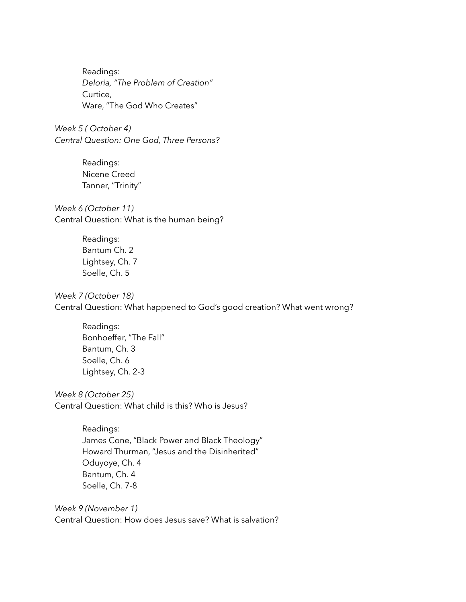Readings: *Deloria, "The Problem of Creation"* Curtice, Ware, "The God Who Creates"

*Week 5 ( October 4) Central Question: One God, Three Persons?*

> Readings: Nicene Creed Tanner, "Trinity"

#### *Week 6 (October 11)* Central Question: What is the human being?

Readings: Bantum Ch. 2 Lightsey, Ch. 7 Soelle, Ch. 5

#### *Week 7 (October 18)*

Central Question: What happened to God's good creation? What went wrong?

Readings: Bonhoeffer, "The Fall" Bantum, Ch. 3 Soelle, Ch. 6 Lightsey, Ch. 2-3

*Week 8 (October 25)* Central Question: What child is this? Who is Jesus?

> Readings: James Cone, "Black Power and Black Theology" Howard Thurman, "Jesus and the Disinherited" Oduyoye, Ch. 4 Bantum, Ch. 4 Soelle, Ch. 7-8

*Week 9 (November 1)*

Central Question: How does Jesus save? What is salvation?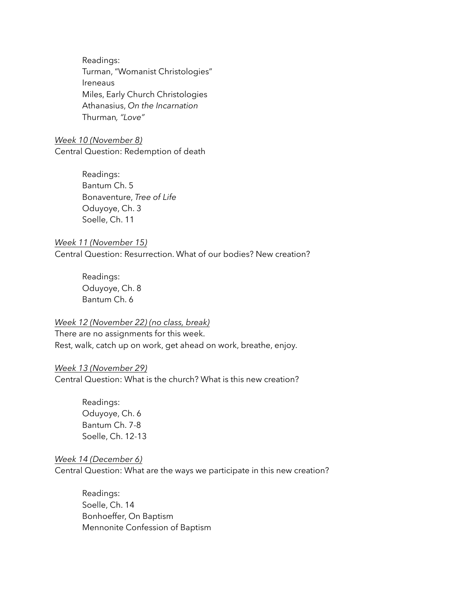Readings: Turman, "Womanist Christologies" Ireneaus Miles, Early Church Christologies Athanasius, *On the Incarnation* Thurman*, "Love"*

*Week 10 (November 8)* Central Question: Redemption of death

> Readings: Bantum Ch. 5 Bonaventure, *Tree of Life* Oduyoye, Ch. 3 Soelle, Ch. 11

*Week 11 (November 15)* Central Question: Resurrection. What of our bodies? New creation?

> Readings: Oduyoye, Ch. 8 Bantum Ch. 6

### *Week 12 (November 22) (no class, break)*

There are no assignments for this week. Rest, walk, catch up on work, get ahead on work, breathe, enjoy.

#### *Week 13 (November 29)*

Central Question: What is the church? What is this new creation?

Readings: Oduyoye, Ch. 6 Bantum Ch. 7-8 Soelle, Ch. 12-13

### *Week 14 (December 6)*

Central Question: What are the ways we participate in this new creation?

Readings: Soelle, Ch. 14 Bonhoeffer, On Baptism Mennonite Confession of Baptism